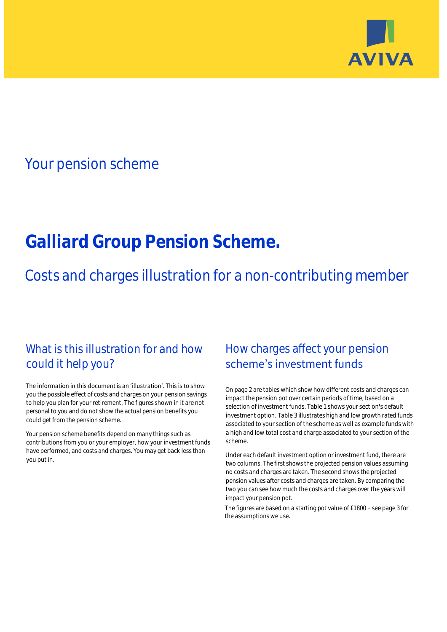

# Your pension scheme

# **Galliard Group Pension Scheme.**

Costs and charges illustration for a non-contributing member

# What is this illustration for and how could it help you?

### The information in this document is an 'illustration'. This is to show you the possible effect of costs and charges on your pension savings to help you plan for your retirement. The figures shown in it are not personal to you and do not show the actual pension benefits you could get from the pension scheme.

Your pension scheme benefits depend on many things such as contributions from you or your employer, how your investment funds have performed, and costs and charges. You may get back less than you put in.

# How charges affect your pension scheme's investment funds

On page 2 are tables which show how different costs and charges can impact the pension pot over certain periods of time, based on a selection of investment funds. Table 1 shows your section's default investment option. Table 3 illustrates high and low growth rated funds associated to your section of the scheme as well as example funds with a high and low total cost and charge associated to your section of the scheme.

Under each default investment option or investment fund, there are two columns. The first shows the projected pension values assuming no costs and charges are taken. The second shows the projected pension values after costs and charges are taken. By comparing the two you can see how much the costs and charges over the years will impact your pension pot.

The figures are based on a starting pot value of £1800 - see page 3 for the assumptions we use.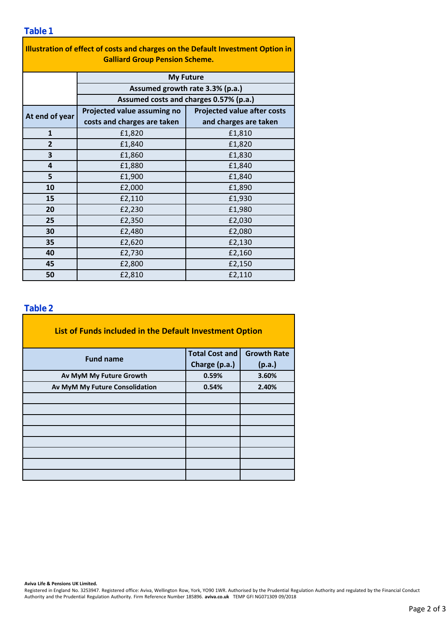### **Table 1**

| Illustration of effect of costs and charges on the Default Investment Option in |                                        |                                    |  |  |  |  |  |  |  |
|---------------------------------------------------------------------------------|----------------------------------------|------------------------------------|--|--|--|--|--|--|--|
| <b>Galliard Group Pension Scheme.</b>                                           |                                        |                                    |  |  |  |  |  |  |  |
|                                                                                 | <b>My Future</b>                       |                                    |  |  |  |  |  |  |  |
|                                                                                 | Assumed growth rate 3.3% (p.a.)        |                                    |  |  |  |  |  |  |  |
|                                                                                 | Assumed costs and charges 0.57% (p.a.) |                                    |  |  |  |  |  |  |  |
| At end of year                                                                  | Projected value assuming no            | <b>Projected value after costs</b> |  |  |  |  |  |  |  |
|                                                                                 | costs and charges are taken            | and charges are taken              |  |  |  |  |  |  |  |
| $\mathbf{1}$                                                                    | £1,820                                 | £1,810                             |  |  |  |  |  |  |  |
| $\overline{2}$                                                                  | £1,840                                 | £1,820                             |  |  |  |  |  |  |  |
| 3                                                                               | £1,860                                 | £1,830                             |  |  |  |  |  |  |  |
| 4                                                                               | £1,880                                 | £1,840                             |  |  |  |  |  |  |  |
| 5                                                                               | £1,900                                 | £1,840                             |  |  |  |  |  |  |  |
| 10                                                                              | £2,000                                 | £1,890                             |  |  |  |  |  |  |  |
| 15                                                                              | £2,110                                 | £1,930                             |  |  |  |  |  |  |  |
| 20                                                                              | £2,230                                 | £1,980                             |  |  |  |  |  |  |  |
| 25                                                                              | £2,350                                 | £2,030                             |  |  |  |  |  |  |  |
| 30                                                                              | £2,480                                 | £2,080                             |  |  |  |  |  |  |  |
| 35                                                                              | £2,620                                 | £2,130                             |  |  |  |  |  |  |  |
| 40                                                                              | £2,730                                 | £2,160                             |  |  |  |  |  |  |  |
| 45                                                                              | £2,800                                 | £2,150                             |  |  |  |  |  |  |  |
| 50                                                                              | £2,810                                 | £2,110                             |  |  |  |  |  |  |  |

### **Table 2**

| List of Funds included in the Default Investment Option |                       |                    |  |  |  |  |  |  |
|---------------------------------------------------------|-----------------------|--------------------|--|--|--|--|--|--|
| <b>Fund name</b>                                        | <b>Total Cost and</b> | <b>Growth Rate</b> |  |  |  |  |  |  |
|                                                         | Charge (p.a.)         | (p.a.)             |  |  |  |  |  |  |
| Av MyM My Future Growth                                 | 0.59%                 | 3.60%              |  |  |  |  |  |  |
| Av MyM My Future Consolidation                          | 0.54%                 | 2.40%              |  |  |  |  |  |  |
|                                                         |                       |                    |  |  |  |  |  |  |
|                                                         |                       |                    |  |  |  |  |  |  |
|                                                         |                       |                    |  |  |  |  |  |  |
|                                                         |                       |                    |  |  |  |  |  |  |
|                                                         |                       |                    |  |  |  |  |  |  |
|                                                         |                       |                    |  |  |  |  |  |  |
|                                                         |                       |                    |  |  |  |  |  |  |
|                                                         |                       |                    |  |  |  |  |  |  |

#### **Aviva Life & Pensions UK Limited.**

Registered in England No. 3253947. Registered office: Aviva, Wellington Row, York, YO90 1WR. Authorised by the Prudential Regulation Authority and regulated by the Financial Conduct Authority and the Prudential Regulation Authority. Firm Reference Number 185896. **aviva.co.uk** TEMP GFI NG071309 09/2018